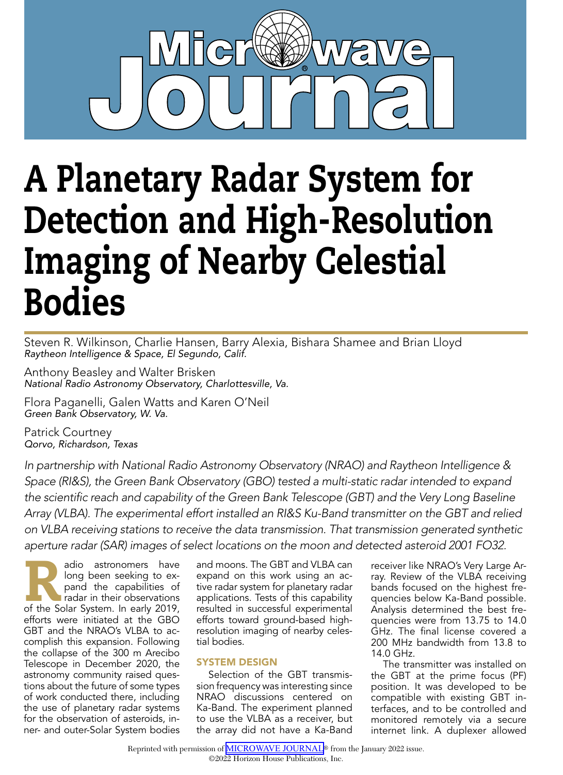

# A Planetary Radar System for Detection and High-Resolution Imaging of Nearby Celestial Bodies

Steven R. Wilkinson, Charlie Hansen, Barry Alexia, Bishara Shamee and Brian Lloyd *Raytheon Intelligence & Space, El Segundo, Calif.*

Anthony Beasley and Walter Brisken *National Radio Astronomy Observatory, Charlottesville, Va.*

Flora Paganelli, Galen Watts and Karen O'Neil *Green Bank Observatory, W. Va.*

Patrick Courtney *Qorvo, Richardson, Texas*

*In partnership with National Radio Astronomy Observatory (NRAO) and Raytheon Intelligence & Space (RI&S), the Green Bank Observatory (GBO) tested a multi-static radar intended to expand the scientific reach and capability of the Green Bank Telescope (GBT) and the Very Long Baseline Array (VLBA). The experimental effort installed an RI&S Ku-Band transmitter on the GBT and relied on VLBA receiving stations to receive the data transmission. That transmission generated synthetic aperture radar (SAR) images of select locations on the moon and detected asteroid 2001 FO32.*

adio astronomers have<br>
long been seeking to ex-<br>
pand the capabilities of<br>
radar in their observations<br>
of the Solar System. In early 2019, long been seeking to expand the capabilities of radar in their observations efforts were initiated at the GBO GBT and the NRAO's VLBA to accomplish this expansion. Following the collapse of the 300 m Arecibo Telescope in December 2020, the astronomy community raised questions about the future of some types of work conducted there, including the use of planetary radar systems for the observation of asteroids, inner- and outer-Solar System bodies

and moons. The GBT and VLBA can expand on this work using an active radar system for planetary radar applications. Tests of this capability resulted in successful experimental efforts toward ground-based highresolution imaging of nearby celestial bodies.

#### SYSTEM DESIGN

Selection of the GBT transmission frequency was interesting since NRAO discussions centered on Ka-Band. The experiment planned to use the VLBA as a receiver, but the array did not have a Ka-Band receiver like NRAO's Very Large Array. Review of the VLBA receiving bands focused on the highest frequencies below Ka-Band possible. Analysis determined the best frequencies were from 13.75 to 14.0 GHz. The final license covered a 200 MHz bandwidth from 13.8 to 14.0 GHz.

The transmitter was installed on the GBT at the prime focus (PF) position. It was developed to be compatible with existing GBT interfaces, and to be controlled and monitored remotely via a secure internet link. A duplexer allowed

Reprinted with permission of **[MICROWAVE JOURNAL](http://mwjournal.com)®** from the January 2022 issue.

<sup>©2022</sup> Horizon House Publications, Inc.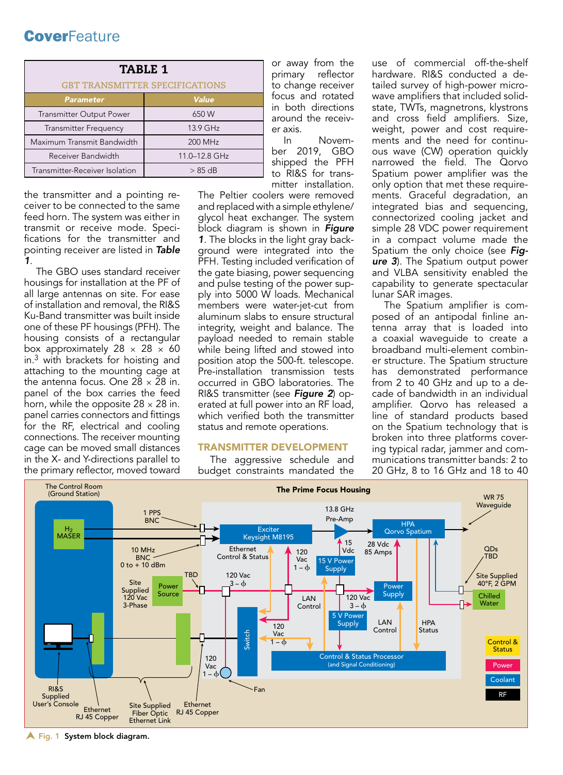| <b>TABLE 1</b>                        |               |  |  |  |  |  |
|---------------------------------------|---------------|--|--|--|--|--|
| <b>GBT TRANSMITTER SPECIFICATIONS</b> |               |  |  |  |  |  |
| <b>Parameter</b>                      | Value         |  |  |  |  |  |
| <b>Transmitter Output Power</b>       | 650 W         |  |  |  |  |  |
| <b>Transmitter Frequency</b>          | 13.9 GHz      |  |  |  |  |  |
| Maximum Transmit Bandwidth            | 200 MHz       |  |  |  |  |  |
| Receiver Bandwidth                    | 11.0-12.8 GHz |  |  |  |  |  |
| Transmitter-Receiver Isolation        | $> 85$ dB     |  |  |  |  |  |

the transmitter and a pointing receiver to be connected to the same feed horn. The system was either in transmit or receive mode. Specifications for the transmitter and pointing receiver are listed in *Table 1*.

The GBO uses standard receiver housings for installation at the PF of all large antennas on site. For ease of installation and removal, the RI&S Ku-Band transmitter was built inside one of these PF housings (PFH). The housing consists of a rectangular box approximately 28  $\times$  28  $\times$  60 in.3 with brackets for hoisting and attaching to the mounting cage at the antenna focus. One  $28 \times 28$  in. panel of the box carries the feed horn, while the opposite  $28 \times 28$  in. panel carries connectors and fittings for the RF, electrical and cooling connections. The receiver mounting cage can be moved small distances in the X- and Y-directions parallel to the primary reflector, moved toward

or away from the primary reflector to change receiver focus and rotated in both directions around the receiver axis.

In November 2019, GBO shipped the PFH to RI&S for transmitter installation.

The Peltier coolers were removed and replaced with a simple ethylene/ glycol heat exchanger. The system block diagram is shown in *Figure 1*. The blocks in the light gray background were integrated into the PFH. Testing included verification of the gate biasing, power sequencing and pulse testing of the power supply into 5000 W loads. Mechanical members were water-jet-cut from aluminum slabs to ensure structural integrity, weight and balance. The payload needed to remain stable while being lifted and stowed into position atop the 500-ft. telescope. Pre-installation transmission tests occurred in GBO laboratories. The RI&S transmitter (see *Figure 2*) operated at full power into an RF load, which verified both the transmitter status and remote operations.

#### TRANSMITTER DEVELOPMENT

The aggressive schedule and budget constraints mandated the

use of commercial off-the-shelf hardware. RI&S conducted a detailed survey of high-power microwave amplifiers that included solidstate, TWTs, magnetrons, klystrons and cross field amplifiers. Size, weight, power and cost requirements and the need for continuous wave (CW) operation quickly narrowed the field. The Qorvo Spatium power amplifier was the only option that met these requirements. Graceful degradation, an integrated bias and sequencing, connectorized cooling jacket and simple 28 VDC power requirement in a compact volume made the Spatium the only choice (see *Figure 3*). The Spatium output power and VLBA sensitivity enabled the capability to generate spectacular lunar SAR images.

The Spatium amplifier is composed of an antipodal finline antenna array that is loaded into a coaxial waveguide to create a broadband multi-element combiner structure. The Spatium structure has demonstrated performance from 2 to 40 GHz and up to a decade of bandwidth in an individual amplifier. Qorvo has released a line of standard products based on the Spatium technology that is broken into three platforms covering typical radar, jammer and communications transmitter bands: 2 to 20 GHz, 8 to 16 GHz and 18 to 40



**A** Fig. 1 System block diagram.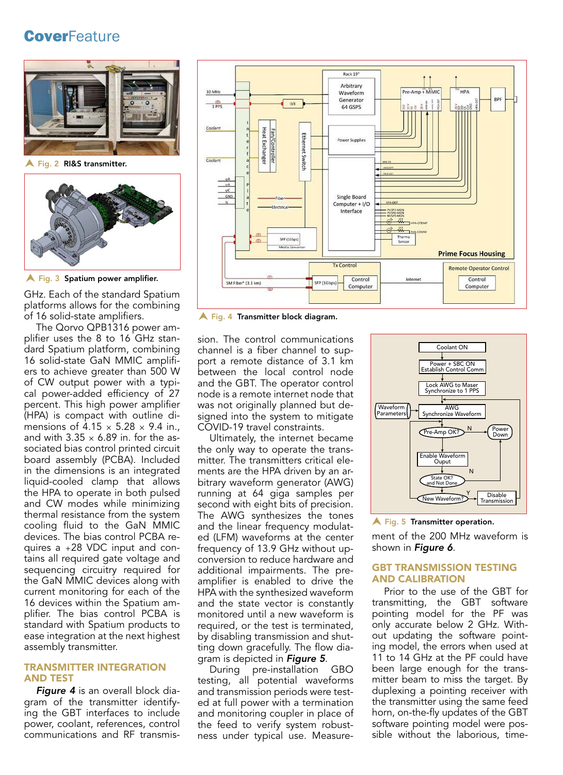



**A** Fig. 3 Spatium power amplifier.

GHz. Each of the standard Spatium platforms allows for the combining of 16 solid-state amplifiers.

The Qorvo QPB1316 power amplifier uses the 8 to 16 GHz standard Spatium platform, combining 16 solid-state GaN MMIC amplifiers to achieve greater than 500 W of CW output power with a typical power-added efficiency of 27 percent. This high power amplifier (HPA) is compact with outline dimensions of  $4.15 \times 5.28 \times 9.4$  in. and with  $3.35 \times 6.89$  in. for the associated bias control printed circuit board assembly (PCBA). Included in the dimensions is an integrated liquid-cooled clamp that allows the HPA to operate in both pulsed and CW modes while minimizing thermal resistance from the system cooling fluid to the GaN MMIC devices. The bias control PCBA requires a +28 VDC input and contains all required gate voltage and sequencing circuitry required for the GaN MMIC devices along with current monitoring for each of the 16 devices within the Spatium amplifier. The bias control PCBA is standard with Spatium products to ease integration at the next highest assembly transmitter.

#### TRANSMITTER INTEGRATION AND TEST

*Figure 4* is an overall block diagram of the transmitter identifying the GBT interfaces to include power, coolant, references, control communications and RF transmis-



**A** Fig. 4 Transmitter block diagram.

sion. The control communications channel is a fiber channel to support a remote distance of 3.1 km between the local control node and the GBT. The operator control node is a remote internet node that was not originally planned but designed into the system to mitigate COVID-19 travel constraints.

Ultimately, the internet became the only way to operate the transmitter. The transmitters critical elements are the HPA driven by an arbitrary waveform generator (AWG) running at 64 giga samples per second with eight bits of precision. The AWG synthesizes the tones and the linear frequency modulated (LFM) waveforms at the center frequency of 13.9 GHz without upconversion to reduce hardware and additional impairments. The preamplifier is enabled to drive the HPA with the synthesized waveform and the state vector is constantly monitored until a new waveform is required, or the test is terminated, by disabling transmission and shutting down gracefully. The flow diagram is depicted in *Figure 5*.

During pre-installation GBO testing, all potential waveforms and transmission periods were tested at full power with a termination and monitoring coupler in place of the feed to verify system robustness under typical use. Measure-



Fig. 5 Transmitter operation.

ment of the 200 MHz waveform is shown in *Figure 6*.

#### GBT TRANSMISSION TESTING AND CALIBRATION

Prior to the use of the GBT for transmitting, the GBT software pointing model for the PF was only accurate below 2 GHz. Without updating the software pointing model, the errors when used at 11 to 14 GHz at the PF could have been large enough for the transmitter beam to miss the target. By duplexing a pointing receiver with the transmitter using the same feed horn, on-the-fly updates of the GBT software pointing model were possible without the laborious, time-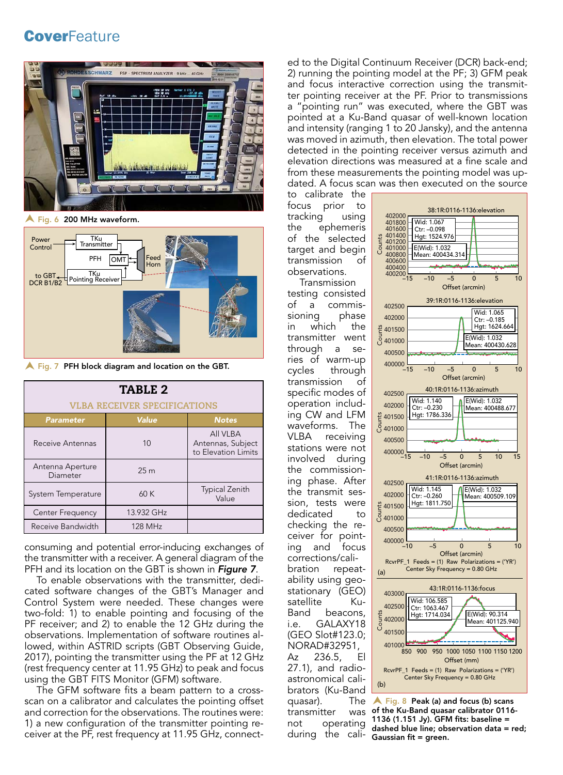

Fig. 6 200 MHz waveform.



 $\bigwedge$  Fig. 7 PFH block diagram and location on the GBT.

| TABLE 2                             |                 |                                                      |  |  |  |  |  |  |
|-------------------------------------|-----------------|------------------------------------------------------|--|--|--|--|--|--|
| <b>VLBA RECEIVER SPECIFICATIONS</b> |                 |                                                      |  |  |  |  |  |  |
| <b>Parameter</b>                    | <b>Value</b>    | <b>Notes</b>                                         |  |  |  |  |  |  |
| Receive Antennas                    | 10              | All VLBA<br>Antennas, Subject<br>to Elevation Limits |  |  |  |  |  |  |
| Antenna Aperture<br>Diameter        | 25 <sub>m</sub> |                                                      |  |  |  |  |  |  |
| System Temperature                  | 60K             | <b>Typical Zenith</b><br>Value                       |  |  |  |  |  |  |
| Center Frequency                    | 13.932 GHz      |                                                      |  |  |  |  |  |  |
| Receive Bandwidth                   | 128 MHz         |                                                      |  |  |  |  |  |  |

consuming and potential error-inducing exchanges of the transmitter with a receiver. A general diagram of the PFH and its location on the GBT is shown in *Figure 7*.

To enable observations with the transmitter, dedicated software changes of the GBT's Manager and Control System were needed. These changes were two-fold: 1) to enable pointing and focusing of the PF receiver; and 2) to enable the 12 GHz during the observations. Implementation of software routines allowed, within ASTRID scripts (GBT Observing Guide, 2017), pointing the transmitter using the PF at 12 GHz (rest frequency center at 11.95 GHz) to peak and focus using the GBT FITS Monitor (GFM) software.

The GFM software fits a beam pattern to a crossscan on a calibrator and calculates the pointing offset and correction for the observations. The routines were: 1) a new configuration of the transmitter pointing receiver at the PF, rest frequency at 11.95 GHz, connected to the Digital Continuum Receiver (DCR) back-end; 2) running the pointing model at the PF; 3) GFM peak and focus interactive correction using the transmitter pointing receiver at the PF. Prior to transmissions a "pointing run" was executed, where the GBT was pointed at a Ku-Band quasar of well-known location and intensity (ranging 1 to 20 Jansky), and the antenna was moved in azimuth, then elevation. The total power detected in the pointing receiver versus azimuth and elevation directions was measured at a fine scale and from these measurements the pointing model was updated. A focus scan was then executed on the source

to calibrate the focus prior to tracking using the ephemeris of the selected target and begin transmission of observations.

Transmission testing consisted of a commissioning in which the transmitter went through a series of warm-up cycles through transmission of specific modes of operation including CW and LFM waveforms. The VLBA receiving stations were not involved during the commissioning phase. After the transmit session, tests were dedicated to checking the receiver for pointing and focus corrections/calibration repeatability using geostationary (GEO) satellite Ku-Band beacons, i.e. GALAXY18 (GEO Slot#123.0; NORAD#32951, Az 236.5, El 27.1), and radioastronomical calibrators (Ku-Band quasar). The transmitter was not operating during the cali- Gaussian fit = green.



 Fig. 8 Peak (a) and focus (b) scans of the Ku-Band quasar calibrator 0116- 1136 (1.151 Jy). GFM fits: baseline = dashed blue line; observation data = red;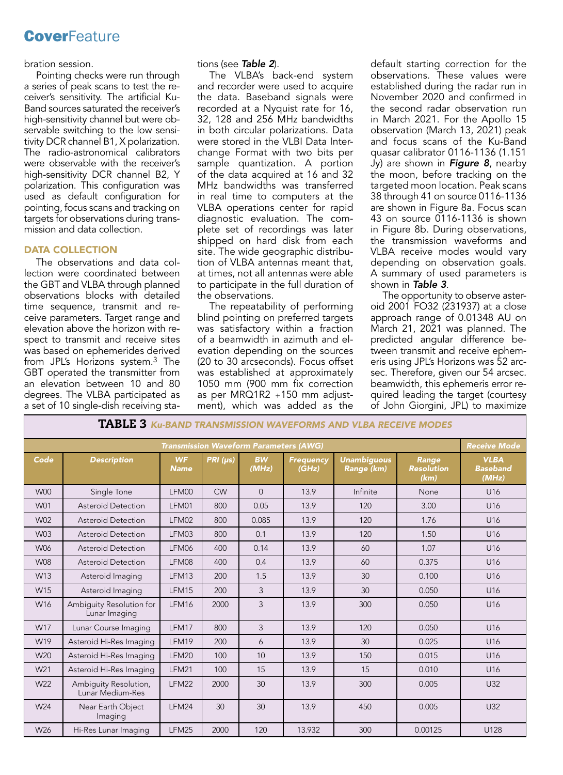#### bration session.

Pointing checks were run through a series of peak scans to test the receiver's sensitivity. The artificial Ku-Band sources saturated the receiver's high-sensitivity channel but were observable switching to the low sensitivity DCR channel B1, X polarization. The radio-astronomical calibrators were observable with the receiver's high-sensitivity DCR channel B2, Y polarization. This configuration was used as default configuration for pointing, focus scans and tracking on targets for observations during transmission and data collection.

#### DATA COLLECTION

The observations and data collection were coordinated between the GBT and VLBA through planned observations blocks with detailed time sequence, transmit and receive parameters. Target range and elevation above the horizon with respect to transmit and receive sites was based on ephemerides derived from JPL's Horizons system.3 The GBT operated the transmitter from an elevation between 10 and 80 degrees. The VLBA participated as a set of 10 single-dish receiving sta-

#### tions (see *Table 2*).

The VLBA's back-end system and recorder were used to acquire the data. Baseband signals were recorded at a Nyquist rate for 16, 32, 128 and 256 MHz bandwidths in both circular polarizations. Data were stored in the VLBI Data Interchange Format with two bits per sample quantization. A portion of the data acquired at 16 and 32 MHz bandwidths was transferred in real time to computers at the VLBA operations center for rapid diagnostic evaluation. The complete set of recordings was later shipped on hard disk from each site. The wide geographic distribution of VLBA antennas meant that, at times, not all antennas were able to participate in the full duration of the observations.

The repeatability of performing blind pointing on preferred targets was satisfactory within a fraction of a beamwidth in azimuth and elevation depending on the sources (20 to 30 arcseconds). Focus offset was established at approximately 1050 mm (900 mm fix correction as per MRQ1R2 +150 mm adjustment), which was added as the

TABLE 3 *Ku-BAND TRANSMISSION WAVEFORMS AND VLBA RECEIVE MODES*

default starting correction for the observations. These values were established during the radar run in November 2020 and confirmed in the second radar observation run in March 2021. For the Apollo 15 observation (March 13, 2021) peak and focus scans of the Ku-Band quasar calibrator 0116-1136 (1.151 Jy) are shown in *Figure 8*, nearby the moon, before tracking on the targeted moon location. Peak scans 38 through 41 on source 0116-1136 are shown in Figure 8a. Focus scan 43 on source 0116-1136 is shown in Figure 8b. During observations, the transmission waveforms and VLBA receive modes would vary depending on observation goals. A summary of used parameters is shown in *Table 3*.

The opportunity to observe asteroid 2001 FO32 (231937) at a close approach range of 0.01348 AU on March 21, 2021 was planned. The predicted angular difference between transmit and receive ephemeris using JPL's Horizons was 52 arcsec. Therefore, given our 54 arcsec. beamwidth, this ephemeris error required leading the target (courtesy of John Giorgini, JPL) to maximize

| <u>NU-DAND TRANSMISSION WAVEFORMS AND VEDA RECEIVE MODES</u>         |                                           |                          |          |                    |                           |                                  |                                    |                                         |  |  |  |
|----------------------------------------------------------------------|-------------------------------------------|--------------------------|----------|--------------------|---------------------------|----------------------------------|------------------------------------|-----------------------------------------|--|--|--|
| <b>Transmission Waveform Parameters (AWG)</b><br><b>Receive Mode</b> |                                           |                          |          |                    |                           |                                  |                                    |                                         |  |  |  |
| Code                                                                 | <b>Description</b>                        | <b>WF</b><br><b>Name</b> | PRI (µs) | <b>BW</b><br>(MHz) | <b>Frequency</b><br>(GHz) | <b>Unambiguous</b><br>Range (km) | Range<br><b>Resolution</b><br>(km) | <b>VLBA</b><br><b>Baseband</b><br>(MHz) |  |  |  |
| W <sub>00</sub>                                                      | Single Tone                               | LFM00                    | CW       | $\Omega$           | 13.9                      | Infinite                         | None                               | U16                                     |  |  |  |
| W01                                                                  | <b>Asteroid Detection</b>                 | LFM01                    | 800      | 0.05               | 13.9                      | 120                              | 3.00                               | U16                                     |  |  |  |
| W02                                                                  | <b>Asteroid Detection</b>                 | LFM02                    | 800      | 0.085              | 13.9                      | 120                              | 1.76                               | U16                                     |  |  |  |
| W03                                                                  | <b>Asteroid Detection</b>                 | LFM03                    | 800      | 0.1                | 13.9                      | 120                              | 1.50                               | U16                                     |  |  |  |
| W06                                                                  | Asteroid Detection                        | LFM06                    | 400      | 0.14               | 13.9                      | 60                               | 1.07                               | U16                                     |  |  |  |
| <b>W08</b>                                                           | Asteroid Detection                        | LFM08                    | 400      | 0.4                | 13.9                      | 60                               | 0.375                              | U16                                     |  |  |  |
| W13                                                                  | Asteroid Imaging                          | LFM13                    | 200      | 1.5                | 13.9                      | 30                               | 0.100                              | U16                                     |  |  |  |
| W15                                                                  | Asteroid Imaging                          | LFM15                    | 200      | 3                  | 13.9                      | 30                               | 0.050                              | U16                                     |  |  |  |
| W16                                                                  | Ambiguity Resolution for<br>Lunar Imaging | LFM16                    | 2000     | 3                  | 13.9                      | 300                              | 0.050                              | U16                                     |  |  |  |
| W17                                                                  | Lunar Course Imaging                      | LFM17                    | 800      | 3                  | 13.9                      | 120                              | 0.050                              | U16                                     |  |  |  |
| W19                                                                  | Asteroid Hi-Res Imaging                   | LFM19                    | 200      | 6                  | 13.9                      | 30                               | 0.025                              | U16                                     |  |  |  |
| W20                                                                  | Asteroid Hi-Res Imaging                   | LFM20                    | 100      | 10                 | 13.9                      | 150                              | 0.015                              | U16                                     |  |  |  |
| W21                                                                  | Asteroid Hi-Res Imaging                   | LFM21                    | 100      | 15                 | 13.9                      | 15                               | 0.010                              | U <sub>16</sub>                         |  |  |  |
| W <sub>22</sub>                                                      | Ambiguity Resolution,<br>Lunar Medium-Res | LFM22                    | 2000     | 30                 | 13.9                      | 300                              | 0.005                              | U <sub>32</sub>                         |  |  |  |
| W24                                                                  | Near Earth Object<br>Imaging              | LFM24                    | 30       | 30                 | 13.9                      | 450                              | 0.005                              | U32                                     |  |  |  |
| W <sub>26</sub>                                                      | Hi-Res Lunar Imaging                      | LFM25                    | 2000     | 120                | 13.932                    | 300                              | 0.00125                            | U128                                    |  |  |  |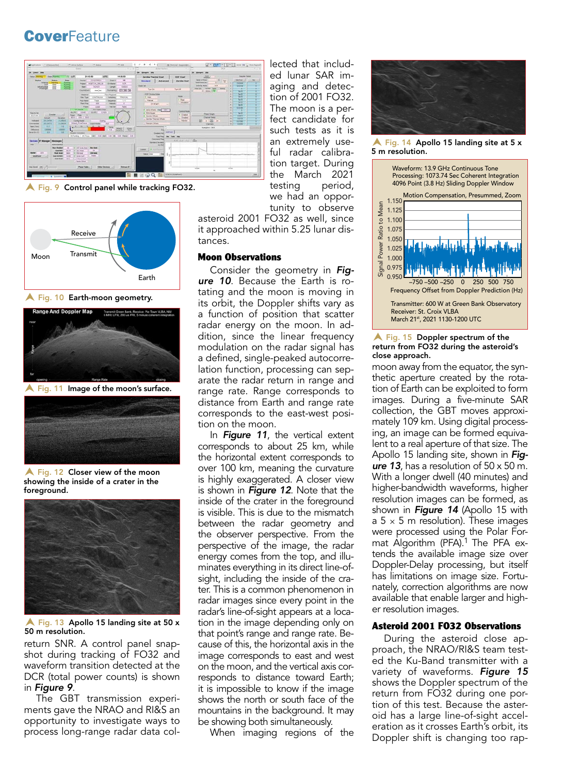

**A** Fig. 9 Control panel while tracking FO32.



Fig. 10 Earth-moon geometry.



 $\blacktriangle$  Fig. 11 Image of the moon's surface.



Fig. 12 Closer view of the moon showing the inside of a crater in the foreground.



 $\triangle$  Fig. 13 Apollo 15 landing site at 50 x 50 m resolution.

return SNR. A control panel snapshot during tracking of FO32 and waveform transition detected at the DCR (total power counts) is shown in *Figure 9*.

The GBT transmission experiments gave the NRAO and RI&S an opportunity to investigate ways to process long-range radar data collected that included lunar SAR imaging and detection of 2001 FO32. The moon is a perfect candidate for such tests as it is an extremely useful radar calibration target. During the March 2021 testing period, we had an opportunity to observe

asteroid 2001 FO32 as well, since it approached within 5.25 lunar distances.

#### Moon Observations

Consider the geometry in *Figure 10*. Because the Earth is rotating and the moon is moving in its orbit, the Doppler shifts vary as a function of position that scatter radar energy on the moon. In addition, since the linear frequency modulation on the radar signal has a defined, single-peaked autocorrelation function, processing can separate the radar return in range and range rate. Range corresponds to distance from Earth and range rate corresponds to the east-west position on the moon.

In *Figure 11*, the vertical extent corresponds to about 25 km, while the horizontal extent corresponds to over 100 km, meaning the curvature is highly exaggerated. A closer view is shown in *Figure 12*. Note that the inside of the crater in the foreground is visible. This is due to the mismatch between the radar geometry and the observer perspective. From the perspective of the image, the radar energy comes from the top, and illuminates everything in its direct line-ofsight, including the inside of the crater. This is a common phenomenon in radar images since every point in the radar's line-of-sight appears at a location in the image depending only on that point's range and range rate. Because of this, the horizontal axis in the image corresponds to east and west on the moon, and the vertical axis corresponds to distance toward Earth; it is impossible to know if the image shows the north or south face of the mountains in the background. It may be showing both simultaneously.

When imaging regions of the



 $\blacktriangle$  Fig. 14 Apollo 15 landing site at 5 x 5 m resolution.



 $\blacktriangle$  Fig. 15 Doppler spectrum of the return from FO32 during the asteroid's close approach.

moon away from the equator, the synthetic aperture created by the rotation of Earth can be exploited to form images. During a five-minute SAR collection, the GBT moves approximately 109 km. Using digital processing, an image can be formed equivalent to a real aperture of that size. The Apollo 15 landing site, shown in *Figure 13*, has a resolution of 50 x 50 m. With a longer dwell (40 minutes) and higher-bandwidth waveforms, higher resolution images can be formed, as shown in *Figure 14* (Apollo 15 with a 5  $\times$  5 m resolution). These images were processed using the Polar Format Algorithm (PFA).<sup>1</sup> The PFA extends the available image size over Doppler-Delay processing, but itself has limitations on image size. Fortunately, correction algorithms are now available that enable larger and higher resolution images.

#### Asteroid 2001 FO32 Observations

During the asteroid close approach, the NRAO/RI&S team tested the Ku-Band transmitter with a variety of waveforms. *Figure 15*  shows the Doppler spectrum of the return from FO32 during one portion of this test. Because the asteroid has a large line-of-sight acceleration as it crosses Earth's orbit, its Doppler shift is changing too rap-